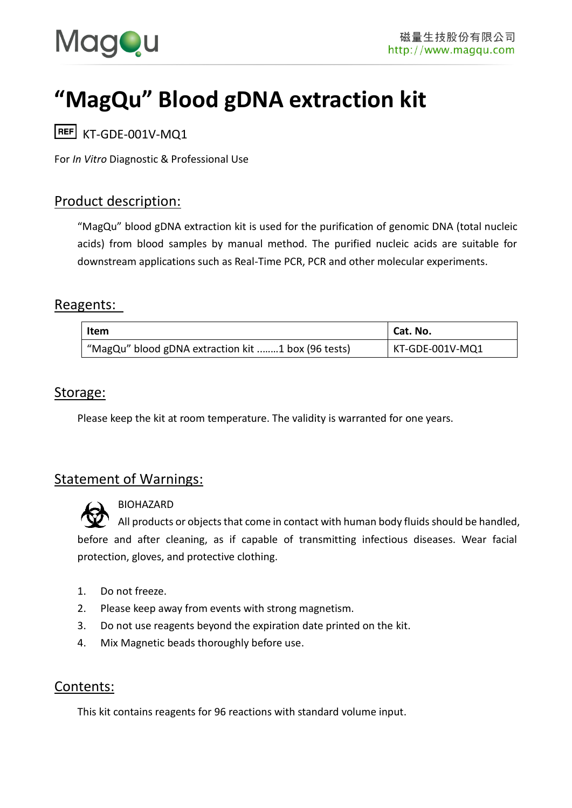

# **"MagQu" Blood gDNA extraction kit**

 $REF$  KT-GDF-001V-MO1

For *In Vitro* Diagnostic & Professional Use

## Product description:

"MagQu" blood gDNA extraction kit is used for the purification of genomic DNA (total nucleic acids) from blood samples by manual method. The purified nucleic acids are suitable for downstream applications such as Real-Time PCR, PCR and other molecular experiments.

#### Reagents:

| Item                                               | Cat. No.        |
|----------------------------------------------------|-----------------|
| "MagQu" blood gDNA extraction kit 1 box (96 tests) | KT-GDE-001V-MQ1 |

#### Storage:

Please keep the kit at room temperature. The validity is warranted for one years.

## Statement of Warnings:



BIOHAZARD

All products or objects that come in contact with human body fluids should be handled, before and after cleaning, as if capable of transmitting infectious diseases. Wear facial protection, gloves, and protective clothing.

- 1. Do not freeze.
- 2. Please keep away from events with strong magnetism.
- 3. Do not use reagents beyond the expiration date printed on the kit.
- 4. Mix Magnetic beads thoroughly before use.

## Contents:

This kit contains reagents for 96 reactions with standard volume input.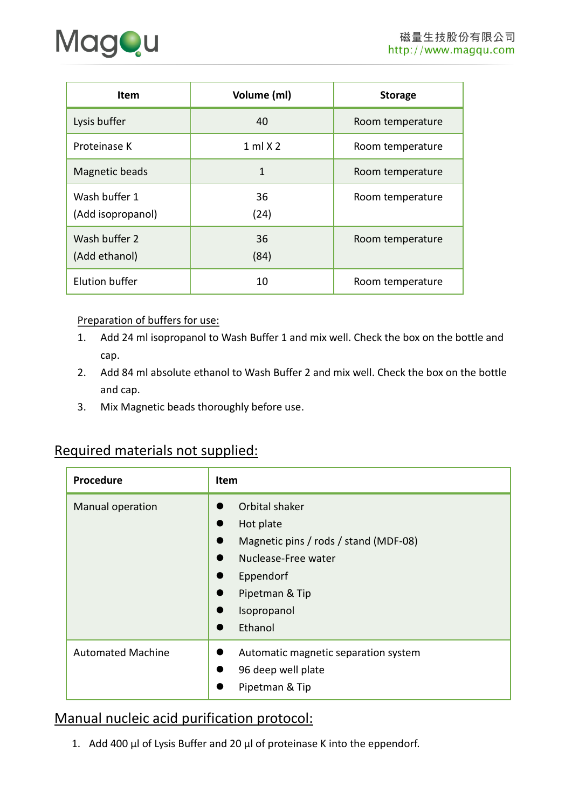

| <b>Item</b>                        | Volume (ml)  | <b>Storage</b>   |
|------------------------------------|--------------|------------------|
| Lysis buffer                       | 40           | Room temperature |
| Proteinase K                       | $1$ ml $X$ 2 | Room temperature |
| Magnetic beads                     | 1            | Room temperature |
| Wash buffer 1<br>(Add isopropanol) | 36<br>(24)   | Room temperature |
| Wash buffer 2<br>(Add ethanol)     | 36<br>(84)   | Room temperature |
| <b>Elution buffer</b>              | 10           | Room temperature |

#### Preparation of buffers for use:

- 1. Add 24 ml isopropanol to Wash Buffer 1 and mix well. Check the box on the bottle and cap.
- 2. Add 84 ml absolute ethanol to Wash Buffer 2 and mix well. Check the box on the bottle and cap.
- 3. Mix Magnetic beads thoroughly before use.

# Required materials not supplied:

| Procedure                | Item                                                                                                                                                 |
|--------------------------|------------------------------------------------------------------------------------------------------------------------------------------------------|
| Manual operation         | Orbital shaker<br>Hot plate<br>Magnetic pins / rods / stand (MDF-08)<br>Nuclease-Free water<br>Eppendorf<br>Pipetman & Tip<br>Isopropanol<br>Ethanol |
| <b>Automated Machine</b> | Automatic magnetic separation system<br>96 deep well plate<br>Pipetman & Tip                                                                         |

## Manual nucleic acid purification protocol:

1. Add 400 μl of Lysis Buffer and 20 μl of proteinase K into the eppendorf.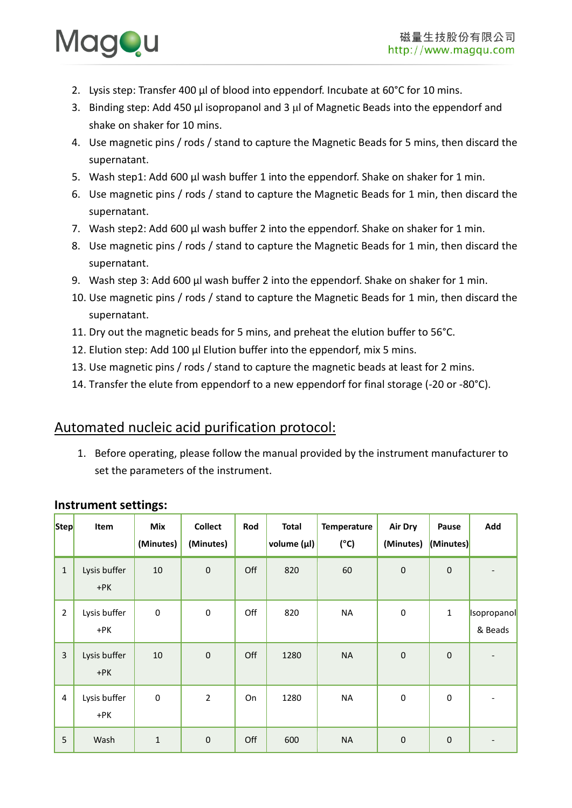

- 2. Lysis step: Transfer 400 μl of blood into eppendorf. Incubate at 60°C for 10 mins.
- 3. Binding step: Add 450 μl isopropanol and 3 μl of Magnetic Beads into the eppendorf and shake on shaker for 10 mins.
- 4. Use magnetic pins / rods / stand to capture the Magnetic Beads for 5 mins, then discard the supernatant.
- 5. Wash step1: Add 600 μl wash buffer 1 into the eppendorf. Shake on shaker for 1 min.
- 6. Use magnetic pins / rods / stand to capture the Magnetic Beads for 1 min, then discard the supernatant.
- 7. Wash step2: Add 600 μl wash buffer 2 into the eppendorf. Shake on shaker for 1 min.
- 8. Use magnetic pins / rods / stand to capture the Magnetic Beads for 1 min, then discard the supernatant.
- 9. Wash step 3: Add 600 μl wash buffer 2 into the eppendorf. Shake on shaker for 1 min.
- 10. Use magnetic pins / rods / stand to capture the Magnetic Beads for 1 min, then discard the supernatant.
- 11. Dry out the magnetic beads for 5 mins, and preheat the elution buffer to 56°C.
- 12. Elution step: Add 100 μl Elution buffer into the eppendorf, mix 5 mins.
- 13. Use magnetic pins / rods / stand to capture the magnetic beads at least for 2 mins.
- 14. Transfer the elute from eppendorf to a new eppendorf for final storage (-20 or -80°C).

### Automated nucleic acid purification protocol:

1. Before operating, please follow the manual provided by the instrument manufacturer to set the parameters of the instrument.

| <b>Step</b>    | Item                  | Mix<br>(Minutes) | <b>Collect</b><br>(Minutes) | Rod | <b>Total</b><br>volume (µl) | Temperature<br>$(^{\circ}C)$ | Air Dry<br>(Minutes) | Pause<br>(Minutes) | Add                    |
|----------------|-----------------------|------------------|-----------------------------|-----|-----------------------------|------------------------------|----------------------|--------------------|------------------------|
| $\mathbf 1$    | Lysis buffer<br>$+PK$ | 10               | $\pmb{0}$                   | Off | 820                         | 60                           | $\pmb{0}$            | $\pmb{0}$          |                        |
| $\overline{2}$ | Lysis buffer<br>+PK   | $\mathbf 0$      | $\pmb{0}$                   | Off | 820                         | <b>NA</b>                    | $\pmb{0}$            | $\mathbf{1}$       | Isopropanol<br>& Beads |
| $\overline{3}$ | Lysis buffer<br>$+PK$ | 10               | $\pmb{0}$                   | Off | 1280                        | <b>NA</b>                    | $\pmb{0}$            | $\pmb{0}$          |                        |
| $\overline{4}$ | Lysis buffer<br>+PK   | $\boldsymbol{0}$ | $\overline{2}$              | On  | 1280                        | <b>NA</b>                    | $\pmb{0}$            | 0                  |                        |
| 5              | Wash                  | $\mathbf{1}$     | $\mathbf 0$                 | Off | 600                         | <b>NA</b>                    | $\boldsymbol{0}$     | $\mathbf 0$        |                        |

#### **Instrument settings:**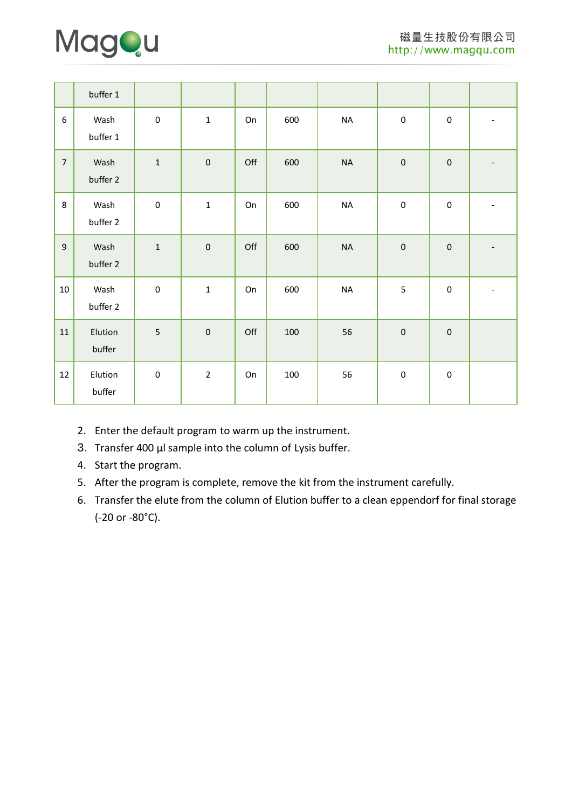

|                  | buffer 1          |              |                |     |     |           |           |                  |  |
|------------------|-------------------|--------------|----------------|-----|-----|-----------|-----------|------------------|--|
| $\boldsymbol{6}$ | Wash<br>buffer 1  | $\mathbf 0$  | $\mathbf{1}$   | On  | 600 | $\sf NA$  | $\pmb{0}$ | $\pmb{0}$        |  |
| $\overline{7}$   | Wash<br>buffer 2  | $\mathbf{1}$ | $\pmb{0}$      | Off | 600 | $\sf NA$  | $\pmb{0}$ | $\pmb{0}$        |  |
| 8                | Wash<br>buffer 2  | $\mathbf 0$  | $\mathbf{1}$   | On  | 600 | <b>NA</b> | $\pmb{0}$ | $\mathbf 0$      |  |
| 9                | Wash<br>buffer 2  | $\mathbf{1}$ | $\pmb{0}$      | Off | 600 | $\sf NA$  | $\pmb{0}$ | $\pmb{0}$        |  |
| $10\,$           | Wash<br>buffer 2  | $\mathbf 0$  | $\mathbf 1$    | On  | 600 | <b>NA</b> | 5         | $\pmb{0}$        |  |
| 11               | Elution<br>buffer | 5            | $\pmb{0}$      | Off | 100 | 56        | $\pmb{0}$ | $\pmb{0}$        |  |
| 12               | Elution<br>buffer | $\pmb{0}$    | $\overline{2}$ | On  | 100 | 56        | $\pmb{0}$ | $\boldsymbol{0}$ |  |

- 2. Enter the default program to warm up the instrument.
- 3. Transfer 400 μl sample into the column of Lysis buffer.
- 4. Start the program.
- 5. After the program is complete, remove the kit from the instrument carefully.
- 6. Transfer the elute from the column of Elution buffer to a clean eppendorf for final storage (-20 or -80°C).